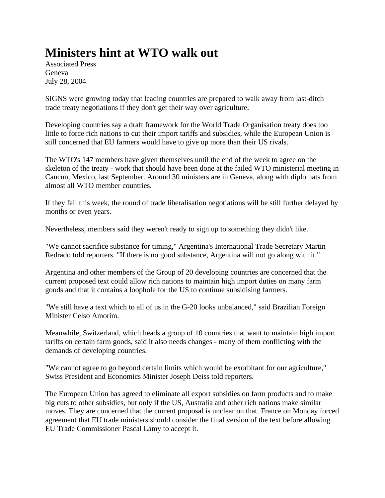## **Ministers hint at WTO walk out**

Associated Press Geneva July 28, 2004

SIGNS were growing today that leading countries are prepared to walk away from last-ditch trade treaty negotiations if they don't get their way over agriculture.

Developing countries say a draft framework for the World Trade Organisation treaty does too little to force rich nations to cut their import tariffs and subsidies, while the European Union is still concerned that EU farmers would have to give up more than their US rivals.

The WTO's 147 members have given themselves until the end of the week to agree on the skeleton of the treaty - work that should have been done at the failed WTO ministerial meeting in Cancun, Mexico, last September. Around 30 ministers are in Geneva, along with diplomats from almost all WTO member countries.

If they fail this week, the round of trade liberalisation negotiations will be still further delayed by months or even years.

Nevertheless, members said they weren't ready to sign up to something they didn't like.

"We cannot sacrifice substance for timing," Argentina's International Trade Secretary Martin Redrado told reporters. "If there is no good substance, Argentina will not go along with it."

Argentina and other members of the Group of 20 developing countries are concerned that the current proposed text could allow rich nations to maintain high import duties on many farm goods and that it contains a loophole for the US to continue subsidising farmers.

"We still have a text which to all of us in the G-20 looks unbalanced," said Brazilian Foreign Minister Celso Amorim.

Meanwhile, Switzerland, which heads a group of 10 countries that want to maintain high import tariffs on certain farm goods, said it also needs changes - many of them conflicting with the demands of developing countries.

"We cannot agree to go beyond certain limits which would be exorbitant for our agriculture," Swiss President and Economics Minister Joseph Deiss told reporters.

The European Union has agreed to eliminate all export subsidies on farm products and to make big cuts to other subsidies, but only if the US, Australia and other rich nations make similar moves. They are concerned that the current proposal is unclear on that. France on Monday forced agreement that EU trade ministers should consider the final version of the text before allowing EU Trade Commissioner Pascal Lamy to accept it.